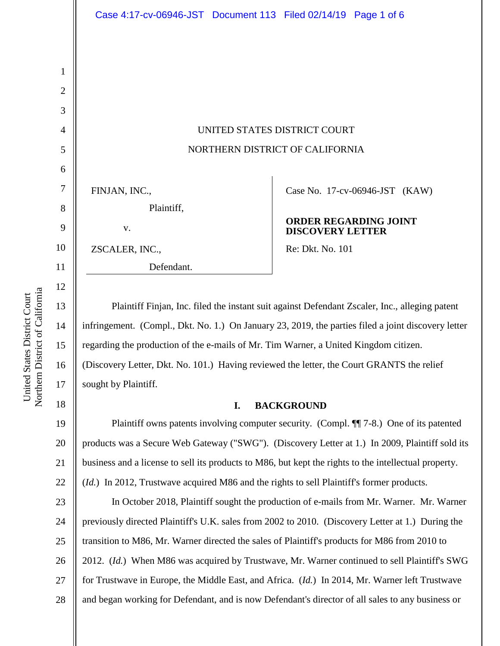UNITED STATES DISTRICT COURT NORTHERN DISTRICT OF CALIFORNIA

Case No. 17-cv-06946-JST (KAW)

## **ORDER REGARDING JOINT DISCOVERY LETTER**

Re: Dkt. No. 101

Plaintiff Finjan, Inc. filed the instant suit against Defendant Zscaler, Inc., alleging patent infringement. (Compl., Dkt. No. 1.) On January 23, 2019, the parties filed a joint discovery letter regarding the production of the e-mails of Mr. Tim Warner, a United Kingdom citizen. (Discovery Letter, Dkt. No. 101.) Having reviewed the letter, the Court GRANTS the relief sought by Plaintiff.

## **I. BACKGROUND**

19 20 21 22 Plaintiff owns patents involving computer security. (Compl. ¶ 7-8.) One of its patented products was a Secure Web Gateway ("SWG"). (Discovery Letter at 1.) In 2009, Plaintiff sold its business and a license to sell its products to M86, but kept the rights to the intellectual property.

(*Id.*) In 2012, Trustwave acquired M86 and the rights to sell Plaintiff's former products.

23 24 25 26 27 28 In October 2018, Plaintiff sought the production of e-mails from Mr. Warner. Mr. Warner previously directed Plaintiff's U.K. sales from 2002 to 2010. (Discovery Letter at 1.) During the transition to M86, Mr. Warner directed the sales of Plaintiff's products for M86 from 2010 to 2012. (*Id.*) When M86 was acquired by Trustwave, Mr. Warner continued to sell Plaintiff's SWG for Trustwave in Europe, the Middle East, and Africa. (*Id.*) In 2014, Mr. Warner left Trustwave and began working for Defendant, and is now Defendant's director of all sales to any business or

1

2

3

4

5

6

7

FINJAN, INC.,

v.

ZSCALER, INC.,

Plaintiff,

Defendant.

8

9

10

11

12

13

14

15

16

17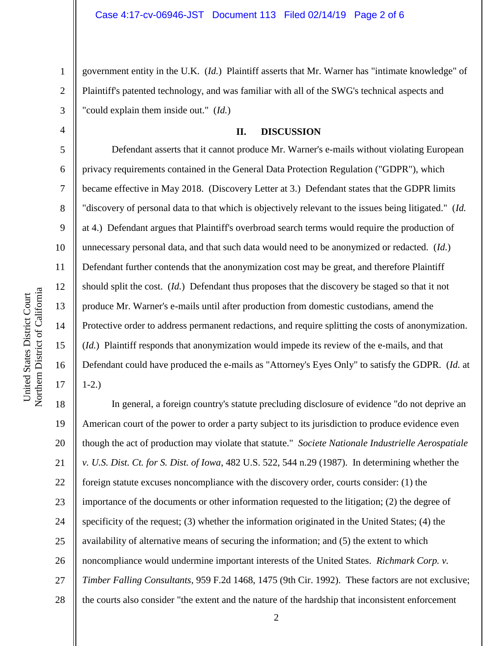government entity in the U.K. (*Id.*) Plaintiff asserts that Mr. Warner has "intimate knowledge" of Plaintiff's patented technology, and was familiar with all of the SWG's technical aspects and "could explain them inside out." (*Id.*)

## **II. DISCUSSION**

Defendant asserts that it cannot produce Mr. Warner's e-mails without violating European privacy requirements contained in the General Data Protection Regulation ("GDPR"), which became effective in May 2018. (Discovery Letter at 3.) Defendant states that the GDPR limits "discovery of personal data to that which is objectively relevant to the issues being litigated." (*Id.* at 4.) Defendant argues that Plaintiff's overbroad search terms would require the production of unnecessary personal data, and that such data would need to be anonymized or redacted. (*Id.*) Defendant further contends that the anonymization cost may be great, and therefore Plaintiff should split the cost. (*Id.*) Defendant thus proposes that the discovery be staged so that it not produce Mr. Warner's e-mails until after production from domestic custodians, amend the Protective order to address permanent redactions, and require splitting the costs of anonymization. (*Id.*) Plaintiff responds that anonymization would impede its review of the e-mails, and that Defendant could have produced the e-mails as "Attorney's Eyes Only" to satisfy the GDPR. (*Id.* at 1-2.)

18 19 20 21 22 23 24 25 26 27 28 In general, a foreign country's statute precluding disclosure of evidence "do not deprive an American court of the power to order a party subject to its jurisdiction to produce evidence even though the act of production may violate that statute." *Societe Nationale Industrielle Aerospatiale v. U.S. Dist. Ct. for S. Dist. of Iowa*, 482 U.S. 522, 544 n.29 (1987). In determining whether the foreign statute excuses noncompliance with the discovery order, courts consider: (1) the importance of the documents or other information requested to the litigation; (2) the degree of specificity of the request; (3) whether the information originated in the United States; (4) the availability of alternative means of securing the information; and (5) the extent to which noncompliance would undermine important interests of the United States. *Richmark Corp. v. Timber Falling Consultants*, 959 F.2d 1468, 1475 (9th Cir. 1992). These factors are not exclusive; the courts also consider "the extent and the nature of the hardship that inconsistent enforcement

1

2

3

4

5

6

7

8

9

10

11

12

13

14

15

16

17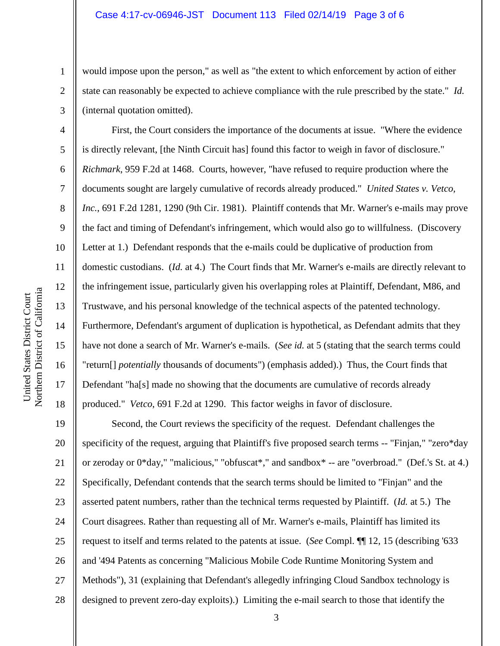would impose upon the person," as well as "the extent to which enforcement by action of either state can reasonably be expected to achieve compliance with the rule prescribed by the state." *Id.* (internal quotation omitted).

First, the Court considers the importance of the documents at issue. "Where the evidence is directly relevant, [the Ninth Circuit has] found this factor to weigh in favor of disclosure." *Richmark*, 959 F.2d at 1468. Courts, however, "have refused to require production where the documents sought are largely cumulative of records already produced." *United States v. Vetco, Inc.*, 691 F.2d 1281, 1290 (9th Cir. 1981). Plaintiff contends that Mr. Warner's e-mails may prove the fact and timing of Defendant's infringement, which would also go to willfulness. (Discovery Letter at 1.) Defendant responds that the e-mails could be duplicative of production from domestic custodians. (*Id.* at 4.) The Court finds that Mr. Warner's e-mails are directly relevant to the infringement issue, particularly given his overlapping roles at Plaintiff, Defendant, M86, and Trustwave, and his personal knowledge of the technical aspects of the patented technology. Furthermore, Defendant's argument of duplication is hypothetical, as Defendant admits that they have not done a search of Mr. Warner's e-mails. (*See id.* at 5 (stating that the search terms could "return[] *potentially* thousands of documents") (emphasis added).) Thus, the Court finds that Defendant "ha[s] made no showing that the documents are cumulative of records already produced." *Vetco*, 691 F.2d at 1290. This factor weighs in favor of disclosure.

19 20 21 22 23 24 25 26 27 28 Second, the Court reviews the specificity of the request. Defendant challenges the specificity of the request, arguing that Plaintiff's five proposed search terms -- "Finjan," "zero\*day or zeroday or 0\*day," "malicious," "obfuscat\*," and sandbox\* -- are "overbroad." (Def.'s St. at 4.) Specifically, Defendant contends that the search terms should be limited to "Finjan" and the asserted patent numbers, rather than the technical terms requested by Plaintiff. (*Id.* at 5.) The Court disagrees. Rather than requesting all of Mr. Warner's e-mails, Plaintiff has limited its request to itself and terms related to the patents at issue. (*See* Compl. ¶¶ 12, 15 (describing '633 and '494 Patents as concerning "Malicious Mobile Code Runtime Monitoring System and Methods"), 31 (explaining that Defendant's allegedly infringing Cloud Sandbox technology is designed to prevent zero-day exploits).) Limiting the e-mail search to those that identify the

1

2

3

4

5

6

7

8

9

10

11

12

13

14

15

16

17

18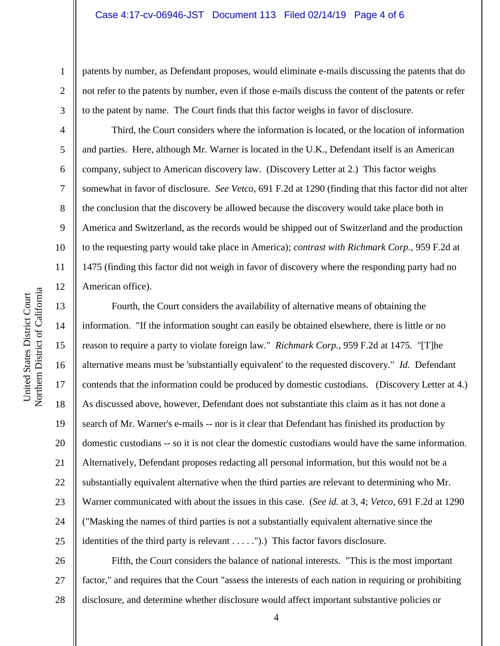patents by number, as Defendant proposes, would eliminate e-mails discussing the patents that do not refer to the patents by number, even if those e-mails discuss the content of the patents or refer to the patent by name. The Court finds that this factor weighs in favor of disclosure.

Third, the Court considers where the information is located, or the location of information and parties. Here, although Mr. Warner is located in the U.K., Defendant itself is an American company, subject to American discovery law. (Discovery Letter at 2.) This factor weighs somewhat in favor of disclosure. *See Vetco*, 691 F.2d at 1290 (finding that this factor did not alter the conclusion that the discovery be allowed because the discovery would take place both in America and Switzerland, as the records would be shipped out of Switzerland and the production to the requesting party would take place in America); *contrast with Richmark Corp.*, 959 F.2d at 1475 (finding this factor did not weigh in favor of discovery where the responding party had no American office).

Fourth, the Court considers the availability of alternative means of obtaining the information. "If the information sought can easily be obtained elsewhere, there is little or no reason to require a party to violate foreign law." *Richmark Corp.*, 959 F.2d at 1475. "[T]he alternative means must be 'substantially equivalent' to the requested discovery." *Id.* Defendant contends that the information could be produced by domestic custodians. (Discovery Letter at 4.) As discussed above, however, Defendant does not substantiate this claim as it has not done a search of Mr. Warner's e-mails -- nor is it clear that Defendant has finished its production by domestic custodians -- so it is not clear the domestic custodians would have the same information. Alternatively, Defendant proposes redacting all personal information, but this would not be a substantially equivalent alternative when the third parties are relevant to determining who Mr. Warner communicated with about the issues in this case. (*See id.* at 3, 4; *Vetco*, 691 F.2d at 1290 ("Masking the names of third parties is not a substantially equivalent alternative since the identities of the third party is relevant . . . . .").) This factor favors disclosure.

26 27 28 Fifth, the Court considers the balance of national interests. "This is the most important factor," and requires that the Court "assess the interests of each nation in requiring or prohibiting disclosure, and determine whether disclosure would affect important substantive policies or

1

2

3

4

5

6

7

8

9

10

11

12

13

14

15

16

17

18

19

20

21

22

23

24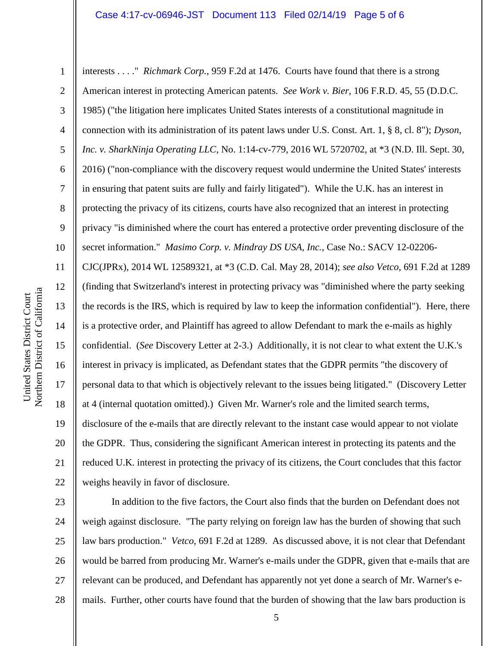1 2 3 4 5 6 7 8 9 10 11 12 13 14 15 16 17 18 19 20 21 22 interests . . . ." *Richmark Corp.*, 959 F.2d at 1476. Courts have found that there is a strong American interest in protecting American patents. *See Work v. Bier*, 106 F.R.D. 45, 55 (D.D.C. 1985) ("the litigation here implicates United States interests of a constitutional magnitude in connection with its administration of its patent laws under U.S. Const. Art. 1, § 8, cl. 8"); *Dyson, Inc. v. SharkNinja Operating LLC*, No. 1:14-cv-779, 2016 WL 5720702, at \*3 (N.D. Ill. Sept. 30, 2016) ("non-compliance with the discovery request would undermine the United States' interests in ensuring that patent suits are fully and fairly litigated"). While the U.K. has an interest in protecting the privacy of its citizens, courts have also recognized that an interest in protecting privacy "is diminished where the court has entered a protective order preventing disclosure of the secret information." *Masimo Corp. v. Mindray DS USA, Inc.*, Case No.: SACV 12-02206- CJC(JPRx), 2014 WL 12589321, at \*3 (C.D. Cal. May 28, 2014); *see also Vetco*, 691 F.2d at 1289 (finding that Switzerland's interest in protecting privacy was "diminished where the party seeking the records is the IRS, which is required by law to keep the information confidential"). Here, there is a protective order, and Plaintiff has agreed to allow Defendant to mark the e-mails as highly confidential. (*See* Discovery Letter at 2-3.) Additionally, it is not clear to what extent the U.K.'s interest in privacy is implicated, as Defendant states that the GDPR permits "the discovery of personal data to that which is objectively relevant to the issues being litigated." (Discovery Letter at 4 (internal quotation omitted).) Given Mr. Warner's role and the limited search terms, disclosure of the e-mails that are directly relevant to the instant case would appear to not violate the GDPR. Thus, considering the significant American interest in protecting its patents and the reduced U.K. interest in protecting the privacy of its citizens, the Court concludes that this factor weighs heavily in favor of disclosure.

23 24 25 26 27 28 In addition to the five factors, the Court also finds that the burden on Defendant does not weigh against disclosure. "The party relying on foreign law has the burden of showing that such law bars production." *Vetco*, 691 F.2d at 1289. As discussed above, it is not clear that Defendant would be barred from producing Mr. Warner's e-mails under the GDPR, given that e-mails that are relevant can be produced, and Defendant has apparently not yet done a search of Mr. Warner's emails. Further, other courts have found that the burden of showing that the law bars production is